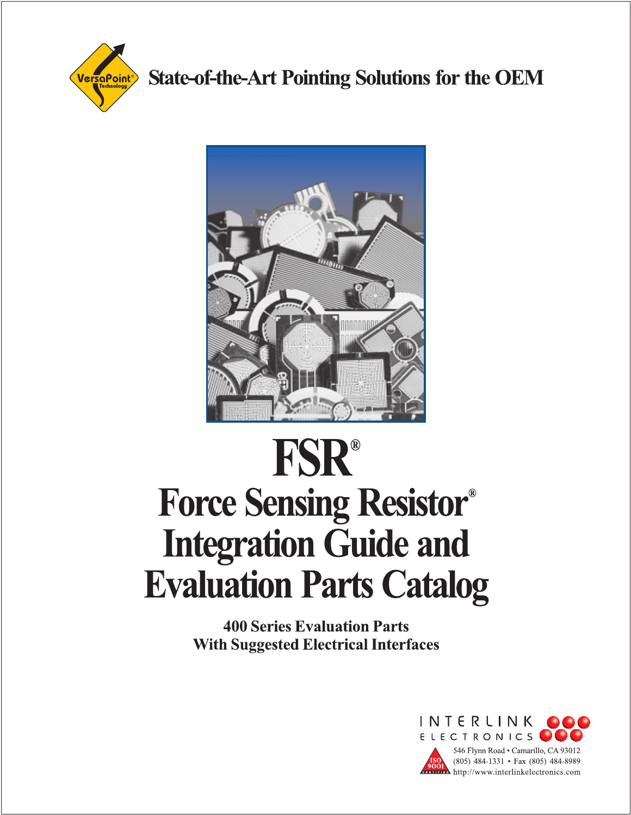

**State-of-the-Art Pointing Solutions for the OEM** 



# **FSR® Force Sensing Resistor® Integration Guide and Evaluation Parts Catalog**

**400 Series Evaluation Parts With Suggested Electrical Interfaces** 

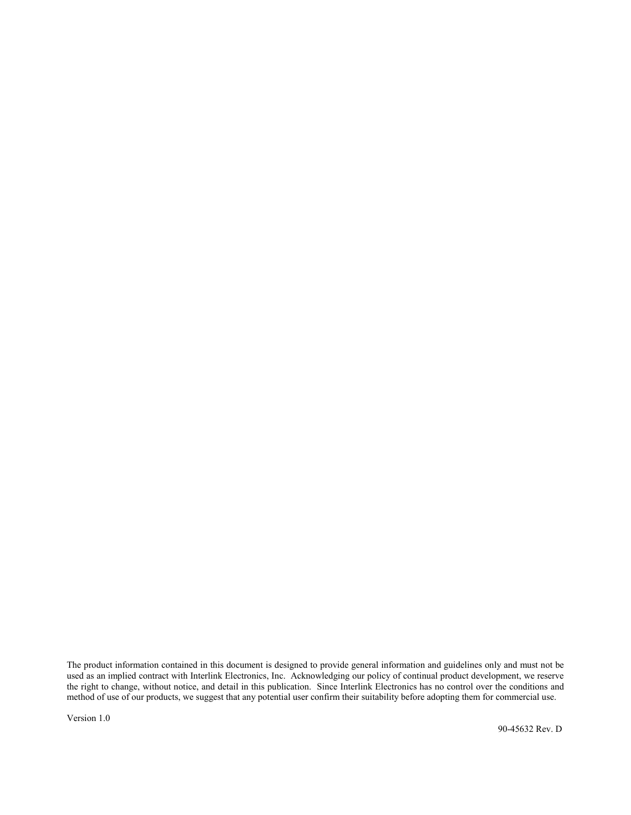The product information contained in this document is designed to provide general information and guidelines only and must not be used as an implied contract with Interlink Electronics, Inc. Acknowledging our policy of continual product development, we reserve the right to change, without notice, and detail in this publication. Since Interlink Electronics has no control over the conditions and method of use of our products, we suggest that any potential user confirm their suitability before adopting them for commercial use.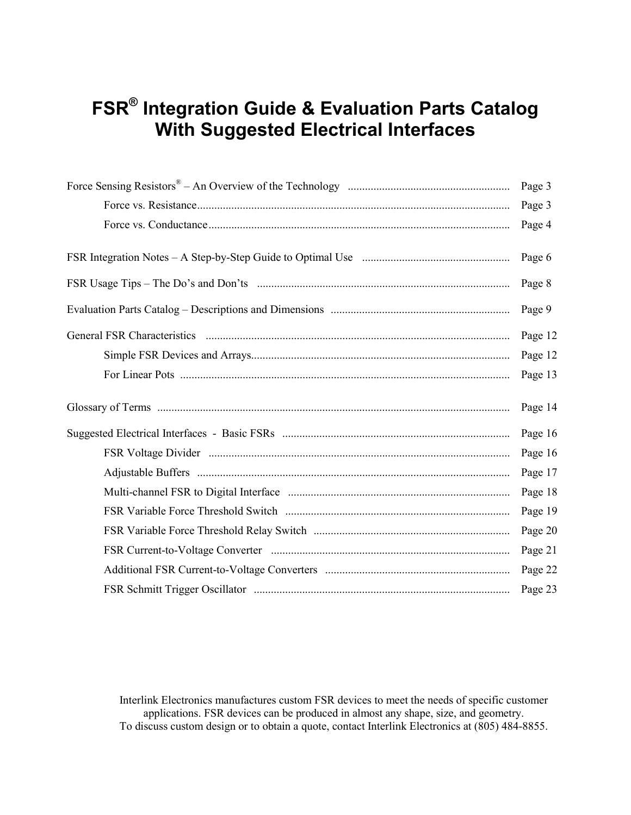## **FSR® Integration Guide & Evaluation Parts Catalog With Suggested Electrical Interfaces**

| Page 3  |
|---------|
| Page 3  |
| Page 4  |
| Page 6  |
| Page 8  |
| Page 9  |
| Page 12 |
| Page 12 |
| Page 13 |
| Page 14 |
| Page 16 |
| Page 16 |
| Page 17 |
| Page 18 |
| Page 19 |
| Page 20 |
| Page 21 |
| Page 22 |
| Page 23 |

Interlink Electronics manufactures custom FSR devices to meet the needs of specific customer applications. FSR devices can be produced in almost any shape, size, and geometry. To discuss custom design or to obtain a quote, contact Interlink Electronics at (805) 484-8855.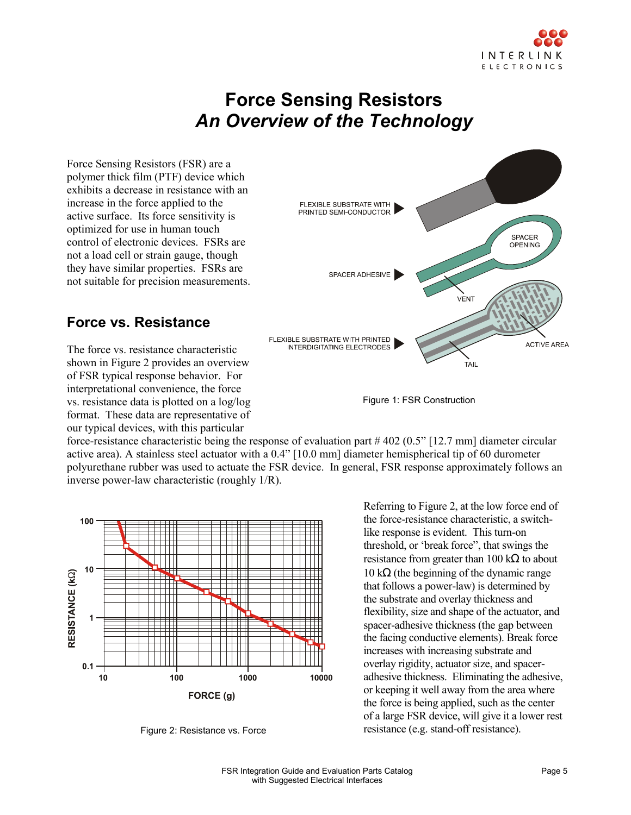

## **Force Sensing Resistors**  *An Overview of the Technology*

Force Sensing Resistors (FSR) are a polymer thick film (PTF) device which exhibits a decrease in resistance with an increase in the force applied to the active surface. Its force sensitivity is optimized for use in human touch control of electronic devices. FSRs are not a load cell or strain gauge, though they have similar properties. FSRs are not suitable for precision measurements.

#### **Force vs. Resistance**

The force vs. resistance characteristic shown in Figure 2 provides an overview of FSR typical response behavior. For interpretational convenience, the force vs. resistance data is plotted on a log/log format. These data are representative of our typical devices, with this particular



Figure 1: FSR Construction

force-resistance characteristic being the response of evaluation part # 402 (0.5" [12.7 mm] diameter circular active area). A stainless steel actuator with a 0.4" [10.0 mm] diameter hemispherical tip of 60 durometer polyurethane rubber was used to actuate the FSR device. In general, FSR response approximately follows an inverse power-law characteristic (roughly 1/R).



Figure 2: Resistance vs. Force

Referring to Figure 2, at the low force end of the force-resistance characteristic, a switchlike response is evident. This turn-on threshold, or 'break force", that swings the resistance from greater than  $100 \text{ k}\Omega$  to about 10 kΩ (the beginning of the dynamic range that follows a power-law) is determined by the substrate and overlay thickness and flexibility, size and shape of the actuator, and spacer-adhesive thickness (the gap between the facing conductive elements). Break force increases with increasing substrate and overlay rigidity, actuator size, and spaceradhesive thickness. Eliminating the adhesive, or keeping it well away from the area where the force is being applied, such as the center of a large FSR device, will give it a lower rest resistance (e.g. stand-off resistance).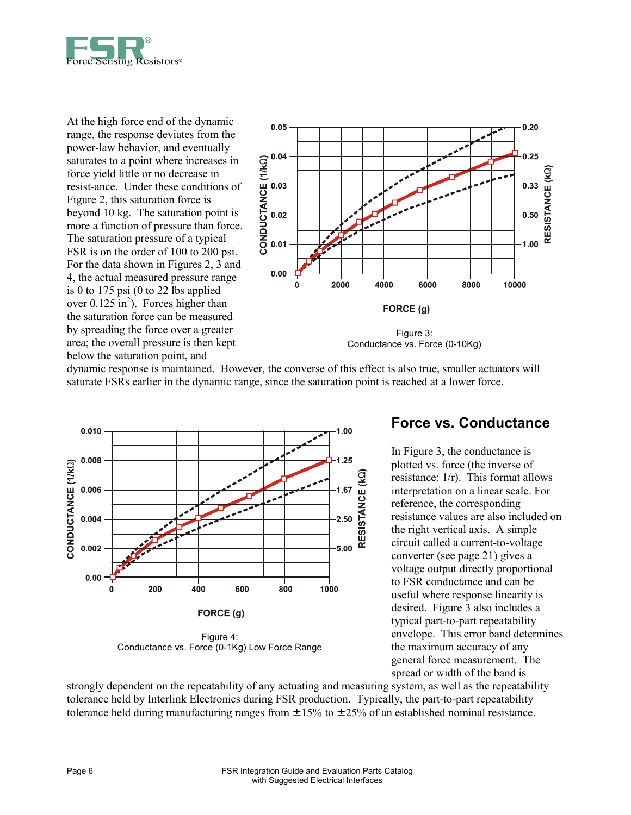

At the high force end of the dynamic range, the response deviates from the power-law behavior, and eventually saturates to a point where increases in force yield little or no decrease in resist-ance. Under these conditions of Figure 2, this saturation force is beyond 10 kg. The saturation point is more a function of pressure than force. The saturation pressure of a typical FSR is on the order of 100 to 200 psi. For the data shown in Figures 2, 3 and 4, the actual measured pressure range is 0 to 175 psi  $(0 \text{ to } 22 \text{ lbs}$  applied over  $0.125 \text{ in}^2$ ). Forces higher than the saturation force can be measured by spreading the force over a greater area; the overall pressure is then kept below the saturation point, and



Conductance vs. Force (0-10Kg)

dynamic response is maintained. However, the converse of this effect is also true, smaller actuators will saturate FSRs earlier in the dynamic range, since the saturation point is reached at a lower force.



#### **Force vs. Conductance**

In Figure 3, the conductance is plotted vs. force (the inverse of resistance: 1/r). This format allows interpretation on a linear scale. For reference, the corresponding resistance values are also included on the right vertical axis. A simple circuit called a current-to-voltage converter (see page 21) gives a voltage output directly proportional to FSR conductance and can be useful where response linearity is desired. Figure 3 also includes a typical part-to-part repeatability envelope. This error band determines the maximum accuracy of any general force measurement. The spread or width of the band is

strongly dependent on the repeatability of any actuating and measuring system, as well as the repeatability tolerance held by Interlink Electronics during FSR production. Typically, the part-to-part repeatability tolerance held during manufacturing ranges from  $\pm$  15% to  $\pm$  25% of an established nominal resistance.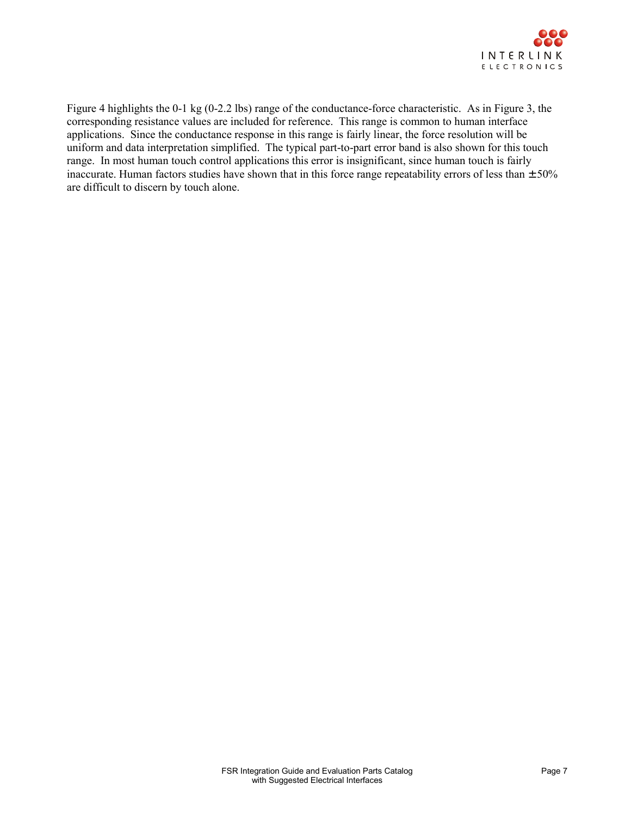

Figure 4 highlights the 0-1 kg (0-2.2 lbs) range of the conductance-force characteristic. As in Figure 3, the corresponding resistance values are included for reference. This range is common to human interface applications. Since the conductance response in this range is fairly linear, the force resolution will be uniform and data interpretation simplified. The typical part-to-part error band is also shown for this touch range. In most human touch control applications this error is insignificant, since human touch is fairly inaccurate. Human factors studies have shown that in this force range repeatability errors of less than  $\pm 50\%$ are difficult to discern by touch alone.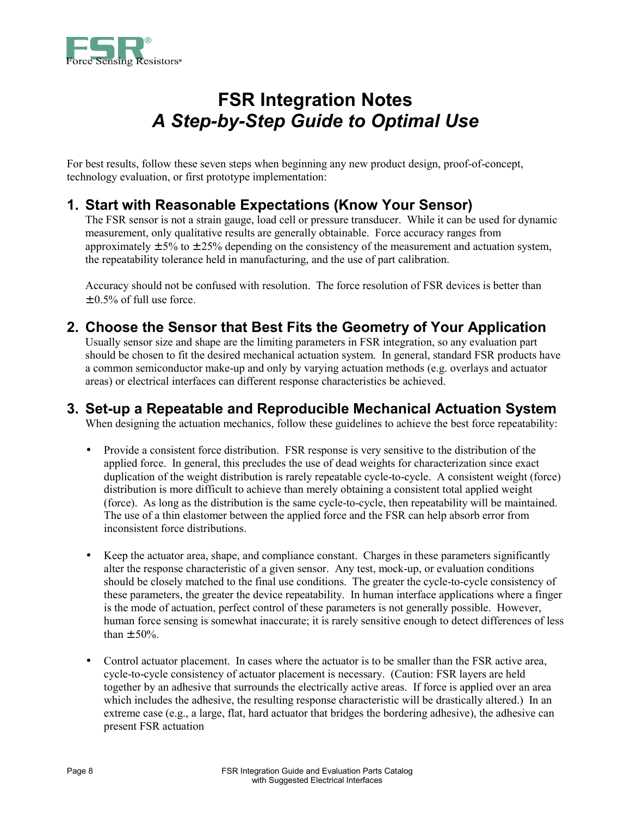

## **FSR Integration Notes**  *A Step-by-Step Guide to Optimal Use*

For best results, follow these seven steps when beginning any new product design, proof-of-concept, technology evaluation, or first prototype implementation:

#### **1. Start with Reasonable Expectations (Know Your Sensor)**

 The FSR sensor is not a strain gauge, load cell or pressure transducer. While it can be used for dynamic measurement, only qualitative results are generally obtainable. Force accuracy ranges from approximately  $\pm$  5% to  $\pm$  25% depending on the consistency of the measurement and actuation system, the repeatability tolerance held in manufacturing, and the use of part calibration.

 Accuracy should not be confused with resolution. The force resolution of FSR devices is better than  $\pm 0.5\%$  of full use force.

#### **2. Choose the Sensor that Best Fits the Geometry of Your Application**

 Usually sensor size and shape are the limiting parameters in FSR integration, so any evaluation part should be chosen to fit the desired mechanical actuation system. In general, standard FSR products have a common semiconductor make-up and only by varying actuation methods (e.g. overlays and actuator areas) or electrical interfaces can different response characteristics be achieved.

#### **3. Set-up a Repeatable and Reproducible Mechanical Actuation System**

When designing the actuation mechanics, follow these guidelines to achieve the best force repeatability:

- Provide a consistent force distribution. FSR response is very sensitive to the distribution of the applied force. In general, this precludes the use of dead weights for characterization since exact duplication of the weight distribution is rarely repeatable cycle-to-cycle. A consistent weight (force) distribution is more difficult to achieve than merely obtaining a consistent total applied weight (force). As long as the distribution is the same cycle-to-cycle, then repeatability will be maintained. The use of a thin elastomer between the applied force and the FSR can help absorb error from inconsistent force distributions.
- Keep the actuator area, shape, and compliance constant. Charges in these parameters significantly alter the response characteristic of a given sensor. Any test, mock-up, or evaluation conditions should be closely matched to the final use conditions. The greater the cycle-to-cycle consistency of these parameters, the greater the device repeatability. In human interface applications where a finger is the mode of actuation, perfect control of these parameters is not generally possible. However, human force sensing is somewhat inaccurate; it is rarely sensitive enough to detect differences of less than  $\pm$  50%.
- Control actuator placement. In cases where the actuator is to be smaller than the FSR active area, cycle-to-cycle consistency of actuator placement is necessary. (Caution: FSR layers are held together by an adhesive that surrounds the electrically active areas. If force is applied over an area which includes the adhesive, the resulting response characteristic will be drastically altered.) In an extreme case (e.g., a large, flat, hard actuator that bridges the bordering adhesive), the adhesive can present FSR actuation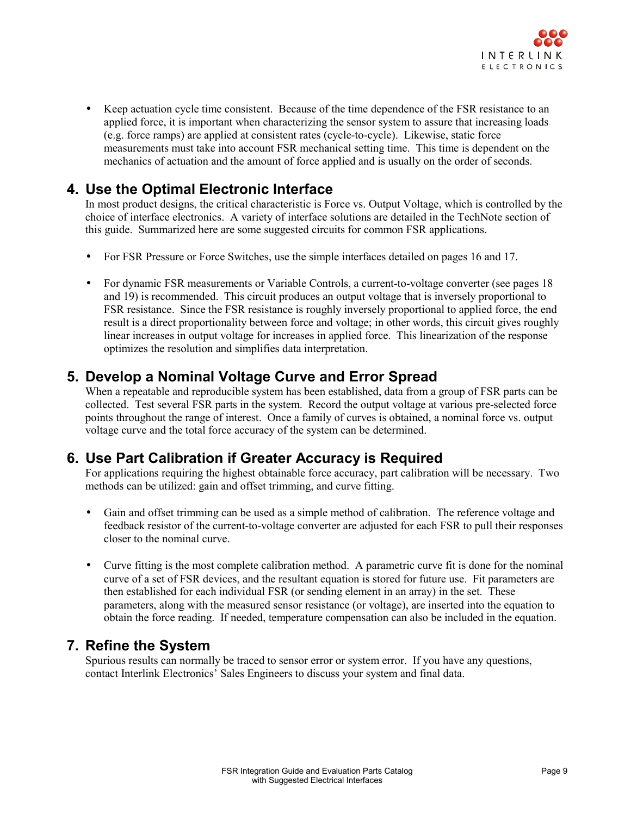

• Keep actuation cycle time consistent. Because of the time dependence of the FSR resistance to an applied force, it is important when characterizing the sensor system to assure that increasing loads (e.g. force ramps) are applied at consistent rates (cycle-to-cycle). Likewise, static force measurements must take into account FSR mechanical setting time. This time is dependent on the mechanics of actuation and the amount of force applied and is usually on the order of seconds.

#### **4. Use the Optimal Electronic Interface**

 In most product designs, the critical characteristic is Force vs. Output Voltage, which is controlled by the choice of interface electronics. A variety of interface solutions are detailed in the TechNote section of this guide. Summarized here are some suggested circuits for common FSR applications.

- For FSR Pressure or Force Switches, use the simple interfaces detailed on pages 16 and 17.
- For dynamic FSR measurements or Variable Controls, a current-to-voltage converter (see pages 18 and 19) is recommended. This circuit produces an output voltage that is inversely proportional to FSR resistance. Since the FSR resistance is roughly inversely proportional to applied force, the end result is a direct proportionality between force and voltage; in other words, this circuit gives roughly linear increases in output voltage for increases in applied force. This linearization of the response optimizes the resolution and simplifies data interpretation.

#### **5. Develop a Nominal Voltage Curve and Error Spread**

 When a repeatable and reproducible system has been established, data from a group of FSR parts can be collected. Test several FSR parts in the system. Record the output voltage at various pre-selected force points throughout the range of interest. Once a family of curves is obtained, a nominal force vs. output voltage curve and the total force accuracy of the system can be determined.

#### **6. Use Part Calibration if Greater Accuracy is Required**

 For applications requiring the highest obtainable force accuracy, part calibration will be necessary. Two methods can be utilized: gain and offset trimming, and curve fitting.

- Gain and offset trimming can be used as a simple method of calibration. The reference voltage and feedback resistor of the current-to-voltage converter are adjusted for each FSR to pull their responses closer to the nominal curve.
- Curve fitting is the most complete calibration method. A parametric curve fit is done for the nominal curve of a set of FSR devices, and the resultant equation is stored for future use. Fit parameters are then established for each individual FSR (or sending element in an array) in the set. These parameters, along with the measured sensor resistance (or voltage), are inserted into the equation to obtain the force reading. If needed, temperature compensation can also be included in the equation.

#### **7. Refine the System**

 Spurious results can normally be traced to sensor error or system error. If you have any questions, contact Interlink Electronics' Sales Engineers to discuss your system and final data.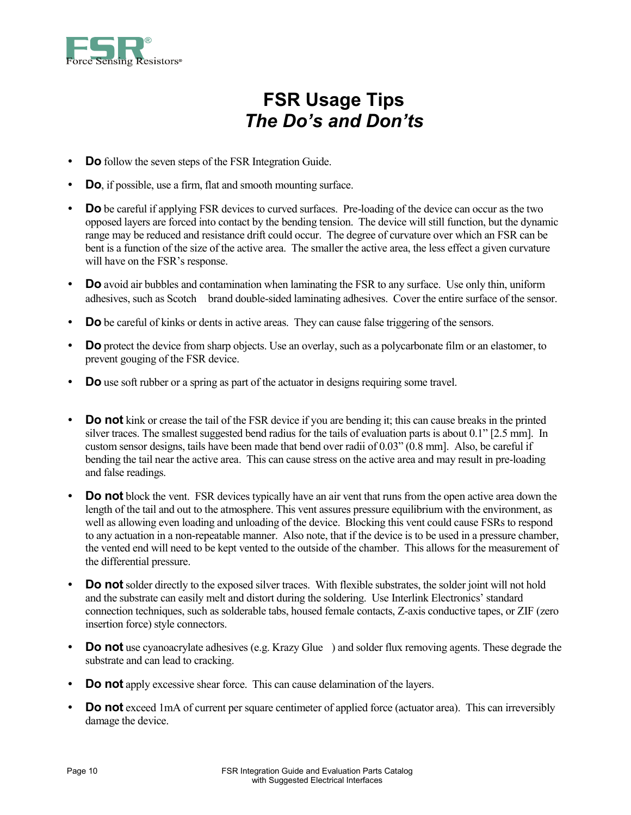

## **FSR Usage Tips**  *The Do's and Don'ts*

- **Do** follow the seven steps of the FSR Integration Guide.
- **Do**, if possible, use a firm, flat and smooth mounting surface.
- **Do** be careful if applying FSR devices to curved surfaces. Pre-loading of the device can occur as the two opposed layers are forced into contact by the bending tension. The device will still function, but the dynamic range may be reduced and resistance drift could occur. The degree of curvature over which an FSR can be bent is a function of the size of the active area. The smaller the active area, the less effect a given curvature will have on the FSR's response.
- **Do** avoid air bubbles and contamination when laminating the FSR to any surface. Use only thin, uniform adhesives, such as Scotch<sup>®</sup> brand double-sided laminating adhesives. Cover the entire surface of the sensor.
- **Do** be careful of kinks or dents in active areas. They can cause false triggering of the sensors.
- **Do** protect the device from sharp objects. Use an overlay, such as a polycarbonate film or an elastomer, to prevent gouging of the FSR device.
- **Do** use soft rubber or a spring as part of the actuator in designs requiring some travel.
- **Do not** kink or crease the tail of the FSR device if you are bending it; this can cause breaks in the printed silver traces. The smallest suggested bend radius for the tails of evaluation parts is about 0.1" [2.5 mm]. In custom sensor designs, tails have been made that bend over radii of 0.03" (0.8 mm]. Also, be careful if bending the tail near the active area. This can cause stress on the active area and may result in pre-loading and false readings.
- **Do not** block the vent. FSR devices typically have an air vent that runs from the open active area down the length of the tail and out to the atmosphere. This vent assures pressure equilibrium with the environment, as well as allowing even loading and unloading of the device. Blocking this vent could cause FSRs to respond to any actuation in a non-repeatable manner. Also note, that if the device is to be used in a pressure chamber, the vented end will need to be kept vented to the outside of the chamber. This allows for the measurement of the differential pressure.
- **Do not** solder directly to the exposed silver traces. With flexible substrates, the solder joint will not hold and the substrate can easily melt and distort during the soldering. Use Interlink Electronics' standard connection techniques, such as solderable tabs, housed female contacts, Z-axis conductive tapes, or ZIF (zero insertion force) style connectors.
- **Do not** use cyanoacrylate adhesives (e.g. Krazy Glue®) and solder flux removing agents. These degrade the substrate and can lead to cracking.
- **Do not** apply excessive shear force. This can cause delamination of the layers.
- **Do not** exceed 1mA of current per square centimeter of applied force (actuator area). This can irreversibly damage the device.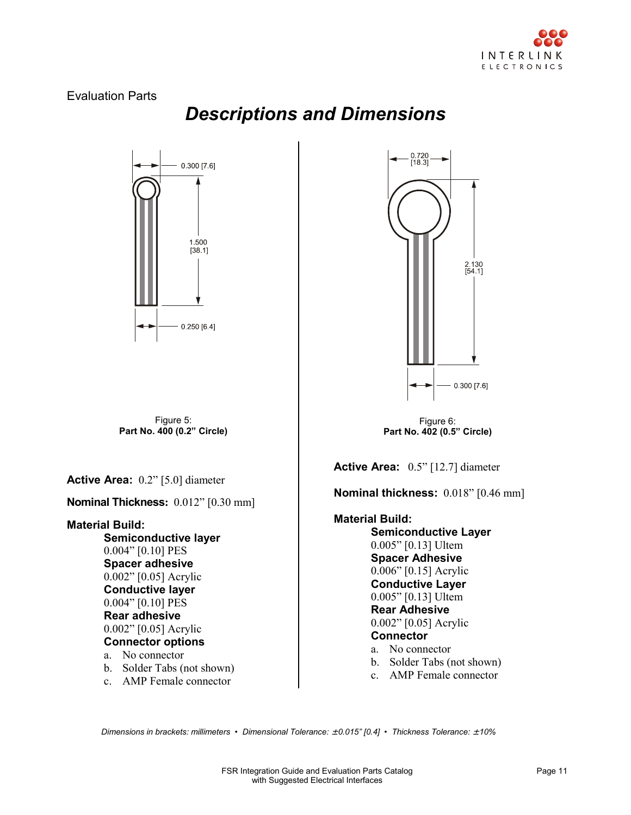

2 130<br>[54 1]

#### Evaluation Parts

*Descriptions and Dimensions*



 *Dimensions in brackets: millimeters • Dimensional Tolerance:* ± *0.015" [0.4] • Thickness Tolerance:* ± *10%*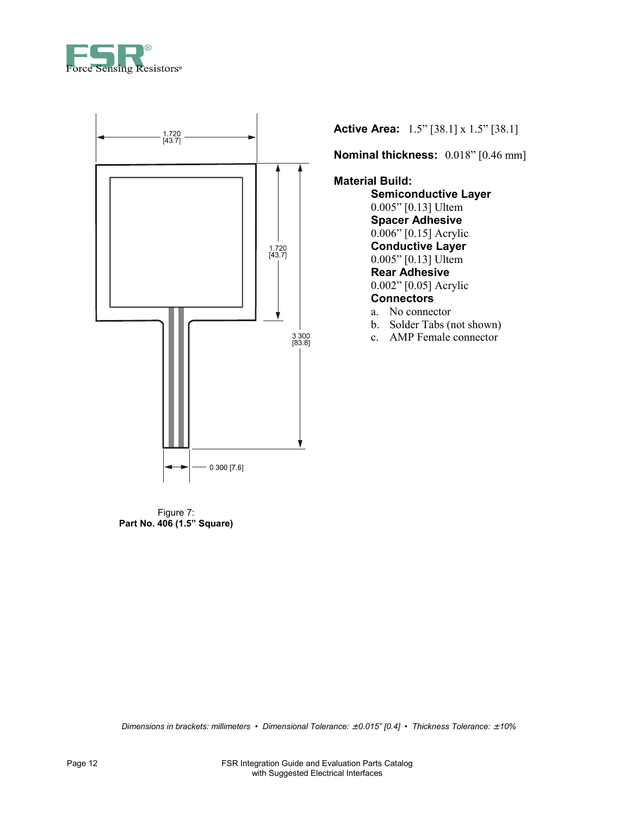



Figure 7: **Part No. 406 (1.5" Square)**

**Active Area:** 1.5" [38.1] x 1.5" [38.1]

**Nominal thickness:** 0.018" [0.46 mm]

**Material Build:** 

 **Semiconductive Layer** 0.005" [0.13] Ultem **Spacer Adhesive**  0.006" [0.15] Acrylic **Conductive Layer**  0.005" [0.13] Ultem **Rear Adhesive**  0.002" [0.05] Acrylic **Connectors**  a. No connector

- b. Solder Tabs (not shown)
- c. AMP Female connector

 *Dimensions in brackets: millimeters • Dimensional Tolerance:* ± *0.015" [0.4] • Thickness Tolerance:* ± *10%*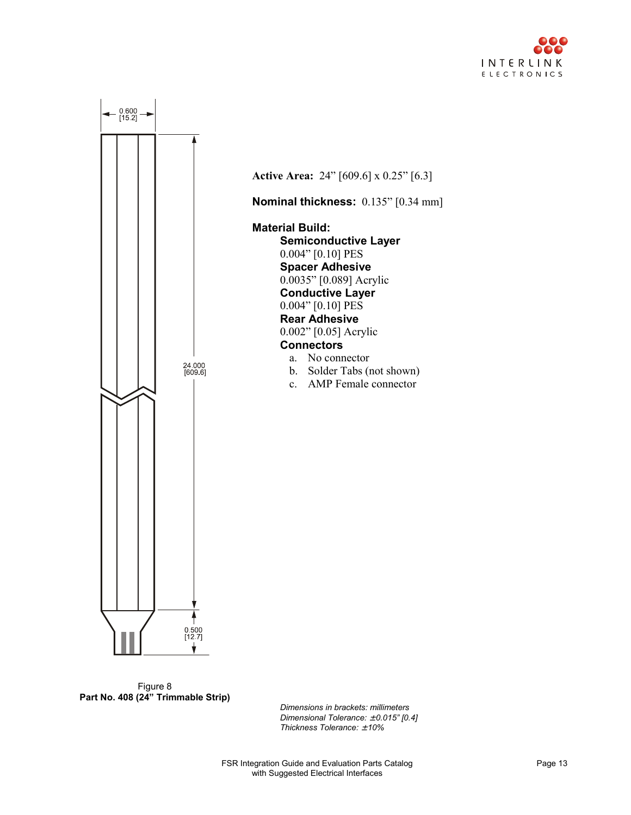



**Active Area:** 24" [609.6] x 0.25" [6.3] **Nominal thickness:** 0.135" [0.34 mm]

**Material Build: Semiconductive Layer**  0.004" [0.10] PES **Spacer Adhesive**  0.0035" [0.089] Acrylic **Conductive Layer**  0.004" [0.10] PES **Rear Adhesive**  0.002" [0.05] Acrylic **Connectors** 

- a. No connector
- b. Solder Tabs (not shown)
- c. AMP Female connector



*Dimensions in brackets: millimeters Dimensional Tolerance:* ± *0.015" [0.4] Thickness Tolerance:* ± *10%*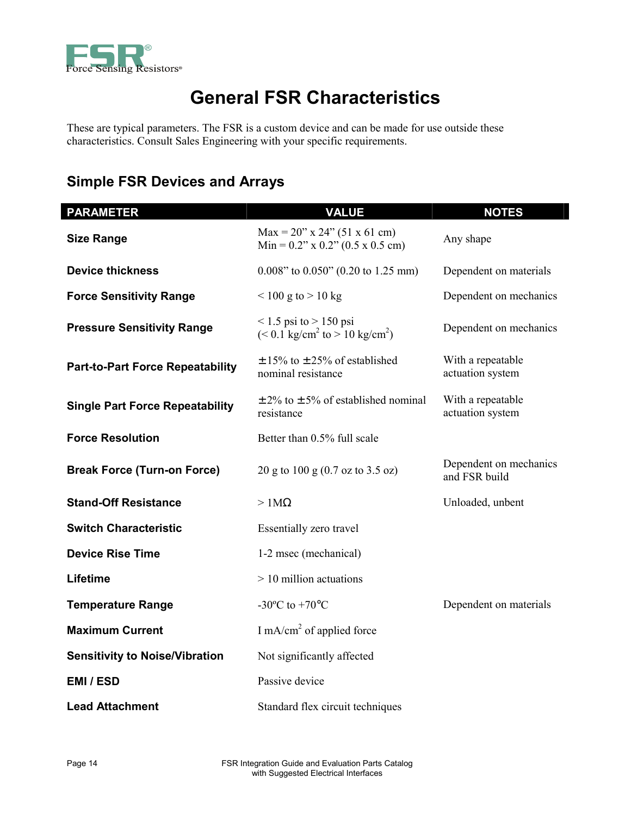

I

## **General FSR Characteristics**

These are typical parameters. The FSR is a custom device and can be made for use outside these characteristics. Consult Sales Engineering with your specific requirements.

#### **Simple FSR Devices and Arrays**

| <b>PARAMETER</b>                        | <b>VALUE</b>                                                                                | <b>NOTES</b>                            |
|-----------------------------------------|---------------------------------------------------------------------------------------------|-----------------------------------------|
| <b>Size Range</b>                       | $Max = 20$ " x 24" (51 x 61 cm)<br>$Min = 0.2$ " x 0.2" (0.5 x 0.5 cm)                      | Any shape                               |
| <b>Device thickness</b>                 | $0.008$ " to $0.050$ " (0.20 to 1.25 mm)                                                    | Dependent on materials                  |
| <b>Force Sensitivity Range</b>          | $< 100$ g to $> 10$ kg                                                                      | Dependent on mechanics                  |
| <b>Pressure Sensitivity Range</b>       | $\leq$ 1.5 psi to $>$ 150 psi<br>$(< 0.1$ kg/cm <sup>2</sup> to $> 10$ kg/cm <sup>2</sup> ) | Dependent on mechanics                  |
| <b>Part-to-Part Force Repeatability</b> | $\pm$ 15% to $\pm$ 25% of established<br>nominal resistance                                 | With a repeatable<br>actuation system   |
| <b>Single Part Force Repeatability</b>  | $\pm$ 2% to $\pm$ 5% of established nominal<br>resistance                                   | With a repeatable<br>actuation system   |
| <b>Force Resolution</b>                 | Better than 0.5% full scale                                                                 |                                         |
| <b>Break Force (Turn-on Force)</b>      | 20 g to 100 g $(0.7 \text{ oz to } 3.5 \text{ oz})$                                         | Dependent on mechanics<br>and FSR build |
| <b>Stand-Off Resistance</b>             | $>1\text{M}\Omega$                                                                          | Unloaded, unbent                        |
| <b>Switch Characteristic</b>            | Essentially zero travel                                                                     |                                         |
| <b>Device Rise Time</b>                 | 1-2 msec (mechanical)                                                                       |                                         |
| Lifetime                                | $> 10$ million actuations                                                                   |                                         |
| <b>Temperature Range</b>                | -30 $^{\circ}$ C to +70 $^{\circ}$ C                                                        | Dependent on materials                  |
| <b>Maximum Current</b>                  | I mA/cm <sup>2</sup> of applied force                                                       |                                         |
| <b>Sensitivity to Noise/Vibration</b>   | Not significantly affected                                                                  |                                         |
| <b>EMI/ESD</b>                          | Passive device                                                                              |                                         |
| <b>Lead Attachment</b>                  | Standard flex circuit techniques                                                            |                                         |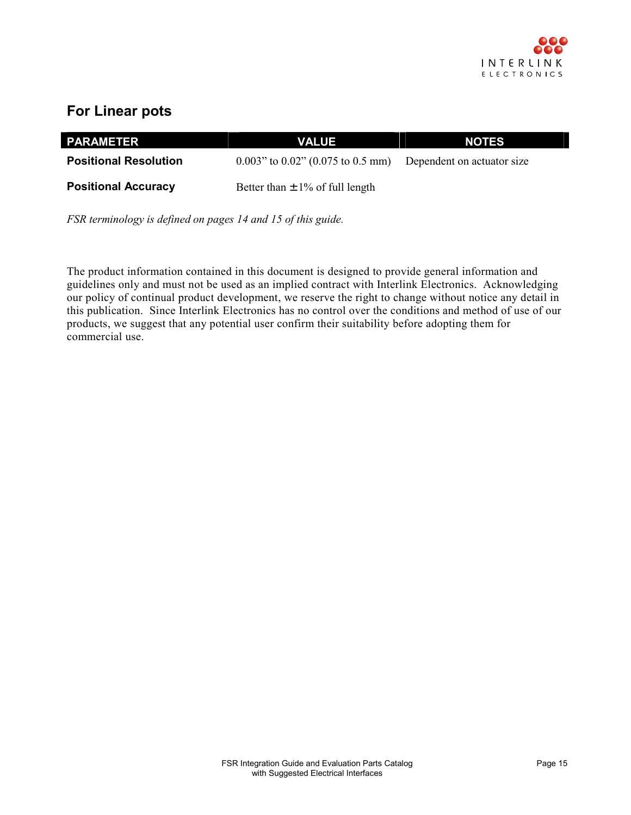

#### **For Linear pots**

| <b>PARAMETER</b>             | <b>VALUE</b>                                                       | <b>NOTES</b> |
|------------------------------|--------------------------------------------------------------------|--------------|
| <b>Positional Resolution</b> | $0.003$ " to $0.02$ " (0.075 to 0.5 mm) Dependent on actuator size |              |
| <b>Positional Accuracy</b>   | Better than $\pm$ 1% of full length                                |              |

*FSR terminology is defined on pages 14 and 15 of this guide.*

The product information contained in this document is designed to provide general information and guidelines only and must not be used as an implied contract with Interlink Electronics. Acknowledging our policy of continual product development, we reserve the right to change without notice any detail in this publication. Since Interlink Electronics has no control over the conditions and method of use of our products, we suggest that any potential user confirm their suitability before adopting them for commercial use.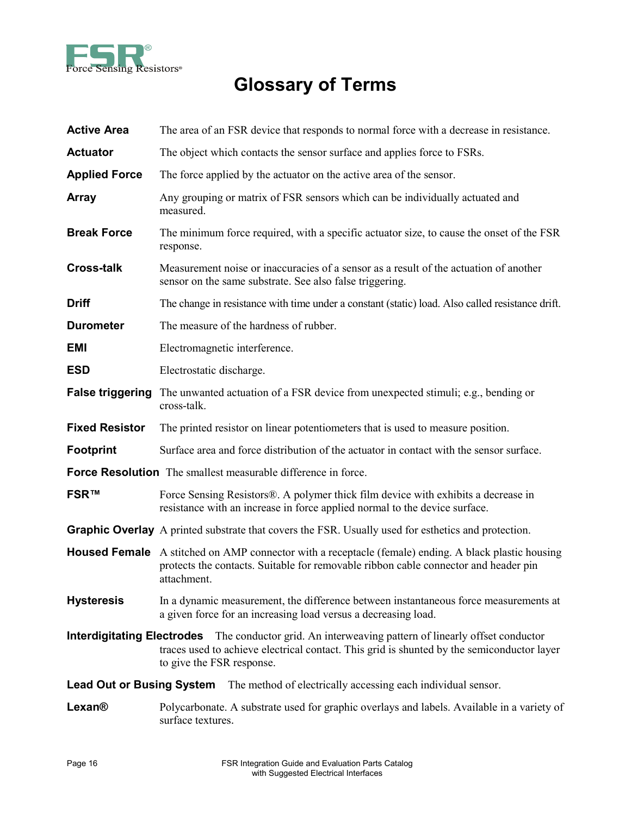

# **Glossary of Terms**

| <b>Active Area</b>               | The area of an FSR device that responds to normal force with a decrease in resistance.                                                                                                                                                |
|----------------------------------|---------------------------------------------------------------------------------------------------------------------------------------------------------------------------------------------------------------------------------------|
| <b>Actuator</b>                  | The object which contacts the sensor surface and applies force to FSRs.                                                                                                                                                               |
| <b>Applied Force</b>             | The force applied by the actuator on the active area of the sensor.                                                                                                                                                                   |
| Array                            | Any grouping or matrix of FSR sensors which can be individually actuated and<br>measured.                                                                                                                                             |
| <b>Break Force</b>               | The minimum force required, with a specific actuator size, to cause the onset of the FSR<br>response.                                                                                                                                 |
| <b>Cross-talk</b>                | Measurement noise or inaccuracies of a sensor as a result of the actuation of another<br>sensor on the same substrate. See also false triggering.                                                                                     |
| <b>Driff</b>                     | The change in resistance with time under a constant (static) load. Also called resistance drift.                                                                                                                                      |
| <b>Durometer</b>                 | The measure of the hardness of rubber.                                                                                                                                                                                                |
| <b>EMI</b>                       | Electromagnetic interference.                                                                                                                                                                                                         |
| <b>ESD</b>                       | Electrostatic discharge.                                                                                                                                                                                                              |
| <b>False triggering</b>          | The unwanted actuation of a FSR device from unexpected stimuli; e.g., bending or<br>cross-talk.                                                                                                                                       |
| <b>Fixed Resistor</b>            | The printed resistor on linear potentiometers that is used to measure position.                                                                                                                                                       |
| <b>Footprint</b>                 | Surface area and force distribution of the actuator in contact with the sensor surface.                                                                                                                                               |
|                                  | <b>Force Resolution</b> The smallest measurable difference in force.                                                                                                                                                                  |
| <b>FSR™</b>                      | Force Sensing Resistors®. A polymer thick film device with exhibits a decrease in<br>resistance with an increase in force applied normal to the device surface.                                                                       |
|                                  | <b>Graphic Overlay</b> A printed substrate that covers the FSR. Usually used for esthetics and protection.                                                                                                                            |
|                                  | <b>Housed Female</b> A stitched on AMP connector with a receptacle (female) ending. A black plastic housing<br>protects the contacts. Suitable for removable ribbon cable connector and header pin<br>attachment.                     |
| <b>Hysteresis</b>                | In a dynamic measurement, the difference between instantaneous force measurements at<br>a given force for an increasing load versus a decreasing load.                                                                                |
|                                  | <b>Interdigitating Electrodes</b> The conductor grid. An interweaving pattern of linearly offset conductor<br>traces used to achieve electrical contact. This grid is shunted by the semiconductor layer<br>to give the FSR response. |
| <b>Lead Out or Busing System</b> | The method of electrically accessing each individual sensor.                                                                                                                                                                          |
| <b>Lexan®</b>                    | Polycarbonate. A substrate used for graphic overlays and labels. Available in a variety of<br>surface textures.                                                                                                                       |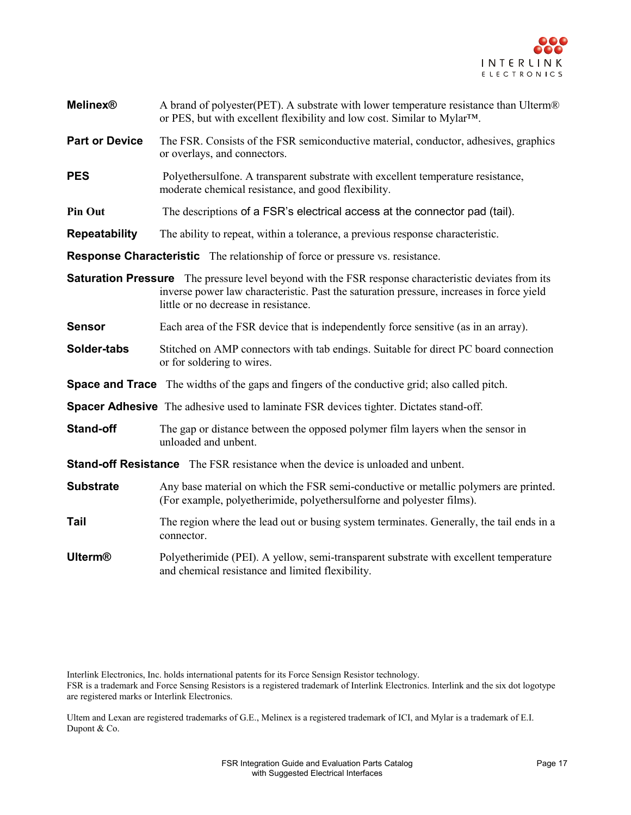

| <b>Melinex®</b>       | A brand of polyester(PET). A substrate with lower temperature resistance than Ulterm®<br>or PES, but with excellent flexibility and low cost. Similar to Mylar™.                                                                                |
|-----------------------|-------------------------------------------------------------------------------------------------------------------------------------------------------------------------------------------------------------------------------------------------|
| <b>Part or Device</b> | The FSR. Consists of the FSR semiconductive material, conductor, adhesives, graphics<br>or overlays, and connectors.                                                                                                                            |
| <b>PES</b>            | Polyethersulfone. A transparent substrate with excellent temperature resistance,<br>moderate chemical resistance, and good flexibility.                                                                                                         |
| <b>Pin Out</b>        | The descriptions of a FSR's electrical access at the connector pad (tail).                                                                                                                                                                      |
| Repeatability         | The ability to repeat, within a tolerance, a previous response characteristic.                                                                                                                                                                  |
|                       | <b>Response Characteristic</b> The relationship of force or pressure vs. resistance.                                                                                                                                                            |
|                       | <b>Saturation Pressure</b> The pressure level beyond with the FSR response characteristic deviates from its<br>inverse power law characteristic. Past the saturation pressure, increases in force yield<br>little or no decrease in resistance. |
| <b>Sensor</b>         | Each area of the FSR device that is independently force sensitive (as in an array).                                                                                                                                                             |
| Solder-tabs           | Stitched on AMP connectors with tab endings. Suitable for direct PC board connection<br>or for soldering to wires.                                                                                                                              |
|                       | <b>Space and Trace</b> The widths of the gaps and fingers of the conductive grid; also called pitch.                                                                                                                                            |
|                       | <b>Spacer Adhesive</b> The adhesive used to laminate FSR devices tighter. Dictates stand-off.                                                                                                                                                   |
| <b>Stand-off</b>      | The gap or distance between the opposed polymer film layers when the sensor in<br>unloaded and unbent.                                                                                                                                          |
|                       | <b>Stand-off Resistance</b> The FSR resistance when the device is unloaded and unbent.                                                                                                                                                          |
| <b>Substrate</b>      | Any base material on which the FSR semi-conductive or metallic polymers are printed.<br>(For example, polyetherimide, polyethersulforne and polyester films).                                                                                   |
| Tail                  | The region where the lead out or busing system terminates. Generally, the tail ends in a<br>connector.                                                                                                                                          |
| <b>Ulterm®</b>        | Polyetherimide (PEI). A yellow, semi-transparent substrate with excellent temperature<br>and chemical resistance and limited flexibility.                                                                                                       |

Interlink Electronics, Inc. holds international patents for its Force Sensign Resistor technology.

FSR is a trademark and Force Sensing Resistors is a registered trademark of Interlink Electronics. Interlink and the six dot logotype are registered marks or Interlink Electronics.

Ultem and Lexan are registered trademarks of G.E., Melinex is a registered trademark of ICI, and Mylar is a trademark of E.I. Dupont & Co.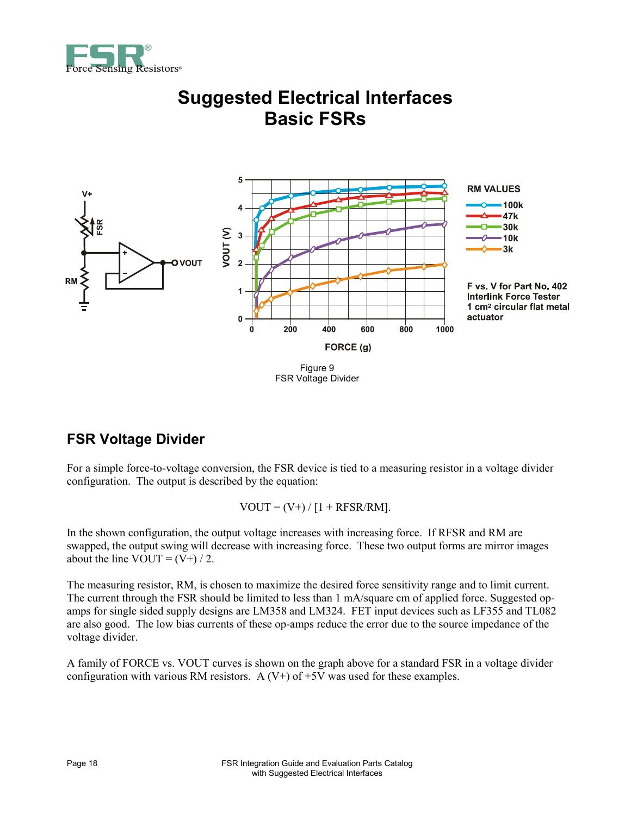



### **Suggested Electrical Interfaces Basic FSRs**

## FSR Voltage Divider

#### **FSR Voltage Divider**

For a simple force-to-voltage conversion, the FSR device is tied to a measuring resistor in a voltage divider configuration. The output is described by the equation:

 $VOUT = (V+) / [1 + RFSR/RM].$ 

In the shown configuration, the output voltage increases with increasing force. If RFSR and RM are swapped, the output swing will decrease with increasing force. These two output forms are mirror images about the line VOUT =  $(V+) / 2$ .

The measuring resistor, RM, is chosen to maximize the desired force sensitivity range and to limit current. The current through the FSR should be limited to less than 1 mA/square cm of applied force. Suggested opamps for single sided supply designs are LM358 and LM324. FET input devices such as LF355 and TL082 are also good. The low bias currents of these op-amps reduce the error due to the source impedance of the voltage divider.

A family of FORCE vs. VOUT curves is shown on the graph above for a standard FSR in a voltage divider configuration with various RM resistors. A  $(V+)$  of  $+5V$  was used for these examples.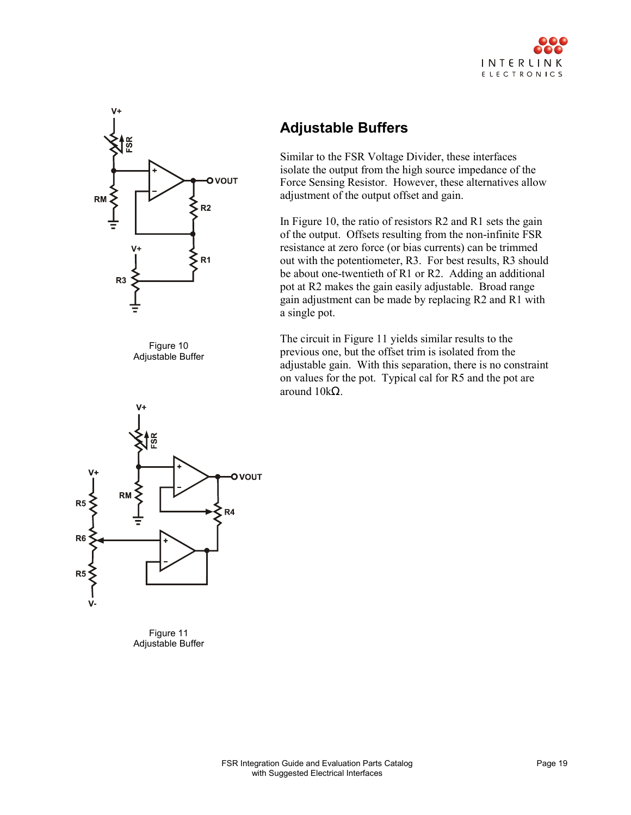



Figure 10 Adjustable Buffer



Figure 11 Adjustable Buffer

#### **Adjustable Buffers**

Similar to the FSR Voltage Divider, these interfaces isolate the output from the high source impedance of the Force Sensing Resistor. However, these alternatives allow adjustment of the output offset and gain.

In Figure 10, the ratio of resistors R2 and R1 sets the gain of the output. Offsets resulting from the non-infinite FSR resistance at zero force (or bias currents) can be trimmed out with the potentiometer, R3. For best results, R3 should be about one-twentieth of R1 or R2. Adding an additional pot at R2 makes the gain easily adjustable. Broad range gain adjustment can be made by replacing R2 and R1 with a single pot.

The circuit in Figure 11 yields similar results to the previous one, but the offset trim is isolated from the adjustable gain. With this separation, there is no constraint on values for the pot. Typical cal for R5 and the pot are around 10kΩ.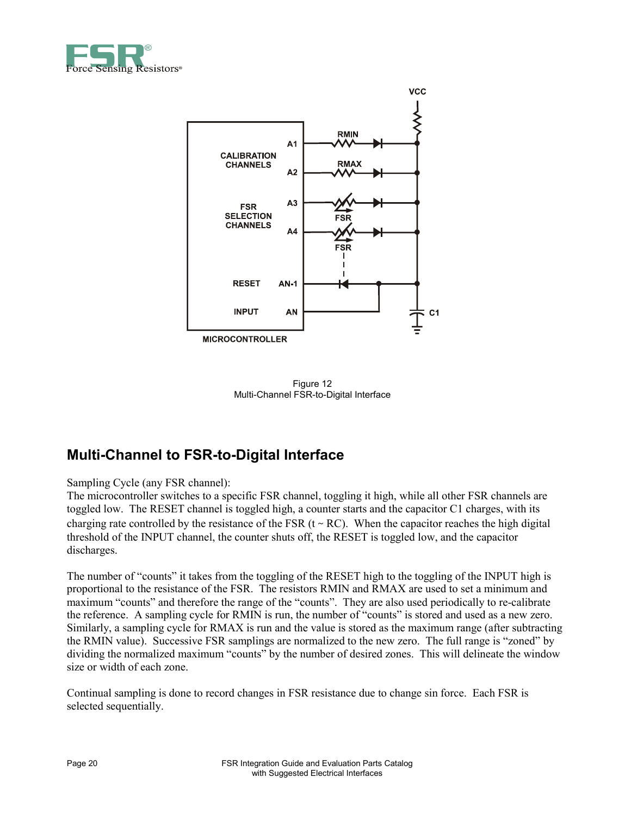



Figure 12 Multi-Channel FSR-to-Digital Interface

#### **Multi-Channel to FSR-to-Digital Interface**

#### Sampling Cycle (any FSR channel):

The microcontroller switches to a specific FSR channel, toggling it high, while all other FSR channels are toggled low. The RESET channel is toggled high, a counter starts and the capacitor C1 charges, with its charging rate controlled by the resistance of the FSR ( $t \sim RC$ ). When the capacitor reaches the high digital threshold of the INPUT channel, the counter shuts off, the RESET is toggled low, and the capacitor discharges.

The number of "counts" it takes from the toggling of the RESET high to the toggling of the INPUT high is proportional to the resistance of the FSR. The resistors RMIN and RMAX are used to set a minimum and maximum "counts" and therefore the range of the "counts". They are also used periodically to re-calibrate the reference. A sampling cycle for RMIN is run, the number of "counts" is stored and used as a new zero. Similarly, a sampling cycle for RMAX is run and the value is stored as the maximum range (after subtracting the RMIN value). Successive FSR samplings are normalized to the new zero. The full range is "zoned" by dividing the normalized maximum "counts" by the number of desired zones. This will delineate the window size or width of each zone.

Continual sampling is done to record changes in FSR resistance due to change sin force. Each FSR is selected sequentially.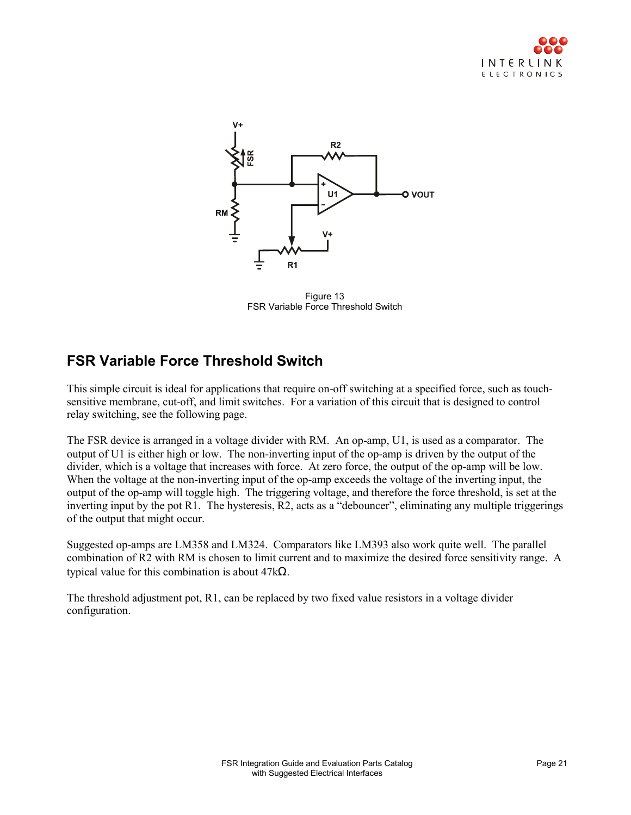



Figure 13 FSR Variable Force Threshold Switch

#### **FSR Variable Force Threshold Switch**

This simple circuit is ideal for applications that require on-off switching at a specified force, such as touchsensitive membrane, cut-off, and limit switches. For a variation of this circuit that is designed to control relay switching, see the following page.

The FSR device is arranged in a voltage divider with RM. An op-amp, U1, is used as a comparator. The output of U1 is either high or low. The non-inverting input of the op-amp is driven by the output of the divider, which is a voltage that increases with force. At zero force, the output of the op-amp will be low. When the voltage at the non-inverting input of the op-amp exceeds the voltage of the inverting input, the output of the op-amp will toggle high. The triggering voltage, and therefore the force threshold, is set at the inverting input by the pot R1. The hysteresis, R2, acts as a "debouncer", eliminating any multiple triggerings of the output that might occur.

Suggested op-amps are LM358 and LM324. Comparators like LM393 also work quite well. The parallel combination of R2 with RM is chosen to limit current and to maximize the desired force sensitivity range. A typical value for this combination is about 47kΩ.

The threshold adjustment pot, R1, can be replaced by two fixed value resistors in a voltage divider configuration.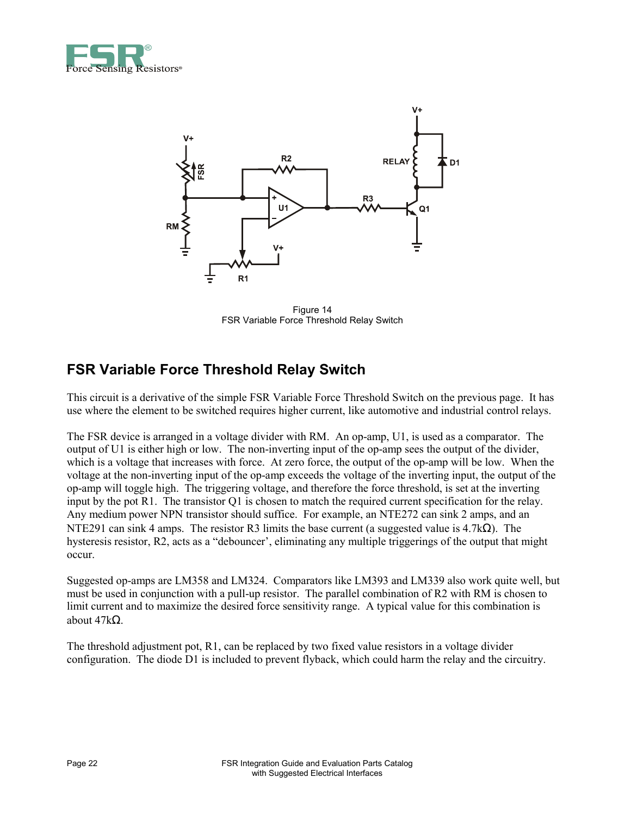



Figure 14 FSR Variable Force Threshold Relay Switch

#### **FSR Variable Force Threshold Relay Switch**

This circuit is a derivative of the simple FSR Variable Force Threshold Switch on the previous page. It has use where the element to be switched requires higher current, like automotive and industrial control relays.

The FSR device is arranged in a voltage divider with RM. An op-amp, U1, is used as a comparator. The output of U1 is either high or low. The non-inverting input of the op-amp sees the output of the divider, which is a voltage that increases with force. At zero force, the output of the op-amp will be low. When the voltage at the non-inverting input of the op-amp exceeds the voltage of the inverting input, the output of the op-amp will toggle high. The triggering voltage, and therefore the force threshold, is set at the inverting input by the pot R1. The transistor Q1 is chosen to match the required current specification for the relay. Any medium power NPN transistor should suffice. For example, an NTE272 can sink 2 amps, and an NTE291 can sink 4 amps. The resistor R3 limits the base current (a suggested value is 4.7kΩ). The hysteresis resistor, R2, acts as a "debouncer', eliminating any multiple triggerings of the output that might occur.

Suggested op-amps are LM358 and LM324. Comparators like LM393 and LM339 also work quite well, but must be used in conjunction with a pull-up resistor. The parallel combination of R2 with RM is chosen to limit current and to maximize the desired force sensitivity range. A typical value for this combination is about 47kΩ.

The threshold adjustment pot, R1, can be replaced by two fixed value resistors in a voltage divider configuration. The diode D1 is included to prevent flyback, which could harm the relay and the circuitry.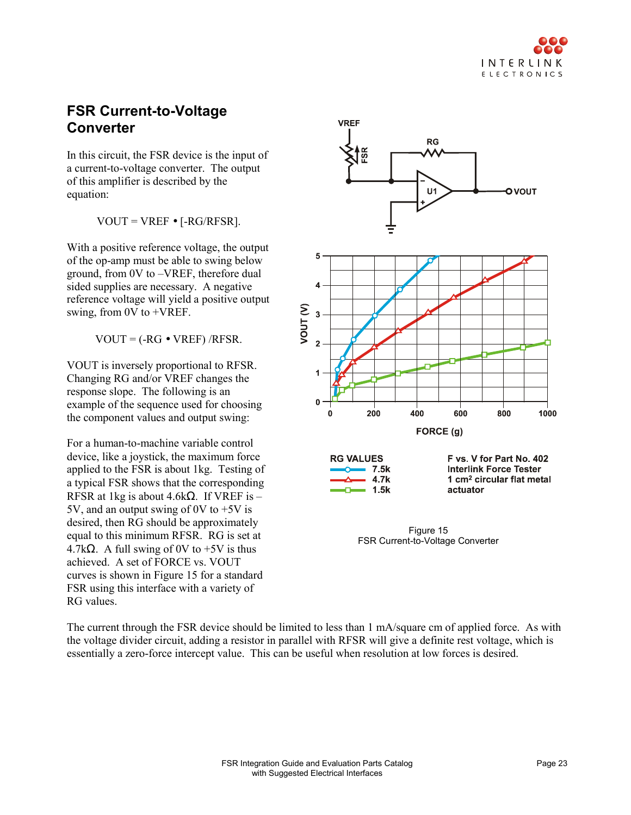#### **FSR Current-to-Voltage Converter**

In this circuit, the FSR device is the input of a current-to-voltage converter. The output of this amplifier is described by the equation:

 $VOUT = VREF \bullet [-RG/RFSR].$ 

With a positive reference voltage, the output of the op-amp must be able to swing below ground, from 0V to –VREF, therefore dual sided supplies are necessary. A negative reference voltage will yield a positive output swing, from 0V to +VREF.

 $VOUT = (-RG \cdot VREF)/RFSR$ .

VOUT is inversely proportional to RFSR. Changing RG and/or VREF changes the response slope. The following is an example of the sequence used for choosing the component values and output swing:

For a human-to-machine variable control device, like a joystick, the maximum force applied to the FSR is about 1kg. Testing of a typical FSR shows that the corresponding RFSR at 1kg is about 4.6k $\Omega$ . If VREF is – 5V, and an output swing of 0V to +5V is desired, then RG should be approximately equal to this minimum RFSR. RG is set at 4.7kΩ. A full swing of 0V to  $+5V$  is thus achieved. A set of FORCE vs. VOUT curves is shown in Figure 15 for a standard FSR using this interface with a variety of RG values.



FSR Current-to-Voltage Converter

The current through the FSR device should be limited to less than 1 mA/square cm of applied force. As with the voltage divider circuit, adding a resistor in parallel with RFSR will give a definite rest voltage, which is essentially a zero-force intercept value. This can be useful when resolution at low forces is desired.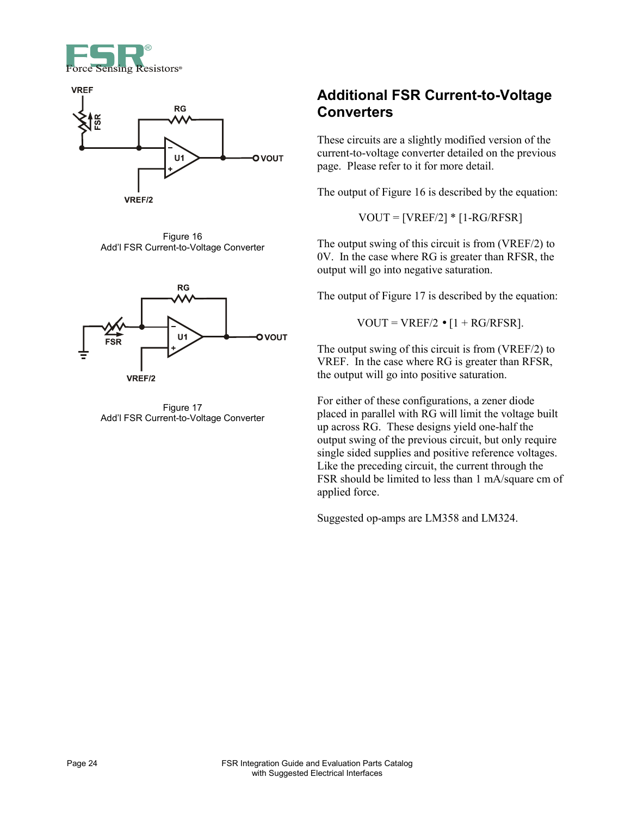



Figure 16 Add'l FSR Current-to-Voltage Converter



Figure 17 Add'l FSR Current-to-Voltage Converter

#### **Additional FSR Current-to-Voltage Converters**

These circuits are a slightly modified version of the current-to-voltage converter detailed on the previous page. Please refer to it for more detail.

The output of Figure 16 is described by the equation:

 $VOUT = [VREF/2] * [1-RG/RFSR]$ 

The output swing of this circuit is from (VREF/2) to 0V. In the case where RG is greater than RFSR, the output will go into negative saturation.

The output of Figure 17 is described by the equation:

 $VOUT = VREF/2 \bullet [1 + RG/RFSR].$ 

The output swing of this circuit is from (VREF/2) to VREF. In the case where RG is greater than RFSR, the output will go into positive saturation.

For either of these configurations, a zener diode placed in parallel with RG will limit the voltage built up across RG. These designs yield one-half the output swing of the previous circuit, but only require single sided supplies and positive reference voltages. Like the preceding circuit, the current through the FSR should be limited to less than 1 mA/square cm of applied force.

Suggested op-amps are LM358 and LM324.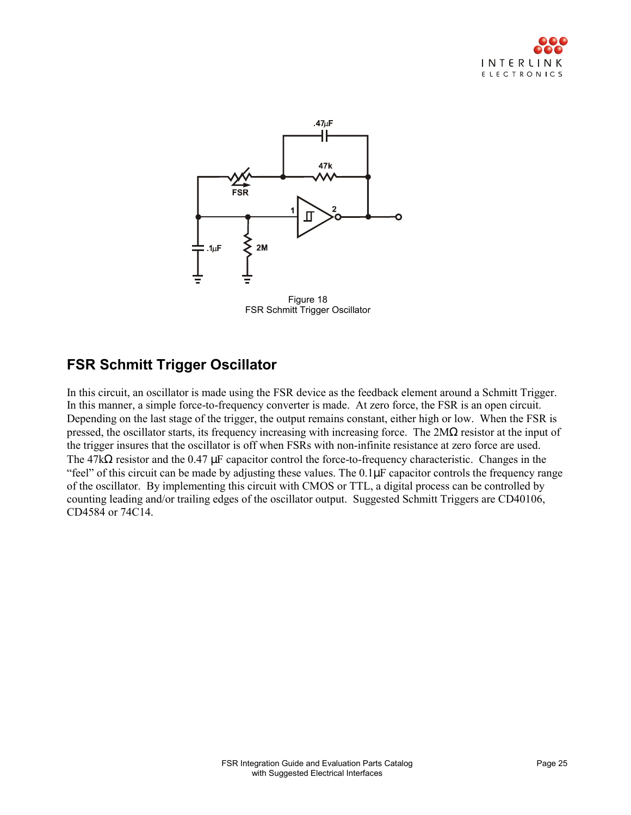



Figure 18 FSR Schmitt Trigger Oscillator

#### **FSR Schmitt Trigger Oscillator**

In this circuit, an oscillator is made using the FSR device as the feedback element around a Schmitt Trigger. In this manner, a simple force-to-frequency converter is made. At zero force, the FSR is an open circuit. Depending on the last stage of the trigger, the output remains constant, either high or low. When the FSR is pressed, the oscillator starts, its frequency increasing with increasing force. The  $2M\Omega$  resistor at the input of the trigger insures that the oscillator is off when FSRs with non-infinite resistance at zero force are used. The 47kΩ resistor and the 0.47 µF capacitor control the force-to-frequency characteristic. Changes in the "feel" of this circuit can be made by adjusting these values. The 0.1µF capacitor controls the frequency range of the oscillator. By implementing this circuit with CMOS or TTL, a digital process can be controlled by counting leading and/or trailing edges of the oscillator output. Suggested Schmitt Triggers are CD40106, CD4584 or 74C14.